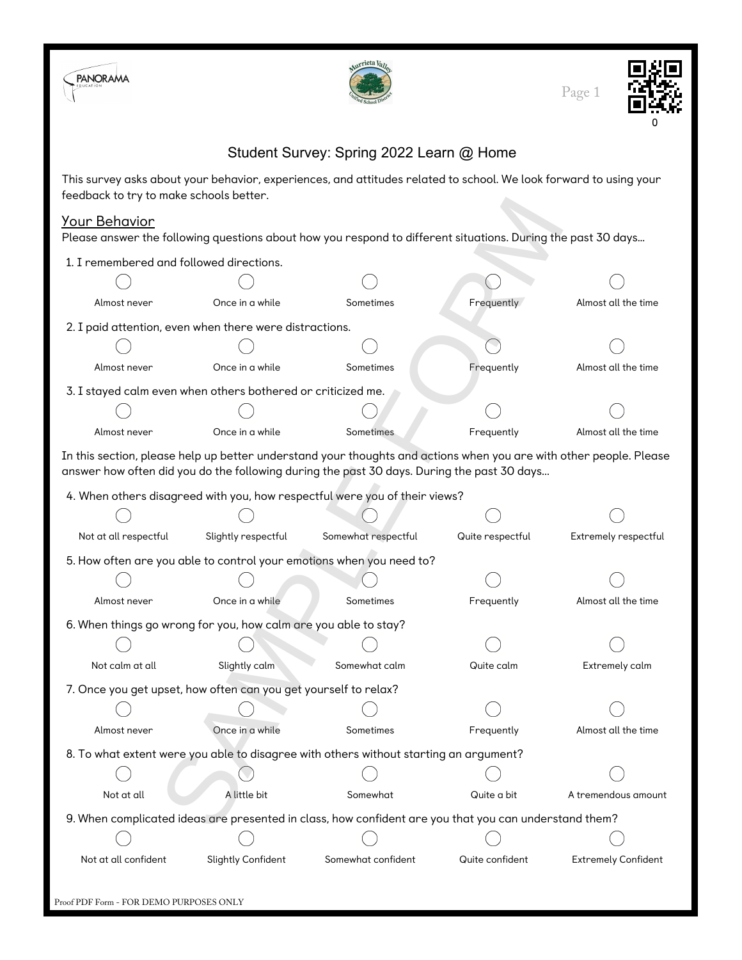





## Student Survey: Spring 2022 Learn @ Home

This survey asks about your behavior, experiences, and attitudes related to school. We look forward to using your feedback to try to make schools better.

## Your Behavior

| Your Behavior                                                   |                     | Please answer the following questions about how you respond to different situations. During the past 30 days                                                                                                     |                  |                      |
|-----------------------------------------------------------------|---------------------|------------------------------------------------------------------------------------------------------------------------------------------------------------------------------------------------------------------|------------------|----------------------|
| 1. I remembered and followed directions.                        |                     |                                                                                                                                                                                                                  |                  |                      |
|                                                                 |                     |                                                                                                                                                                                                                  |                  |                      |
| Almost never                                                    | Once in a while     | Sometimes                                                                                                                                                                                                        | Frequently       | Almost all the time  |
| 2. I paid attention, even when there were distractions.         |                     |                                                                                                                                                                                                                  |                  |                      |
|                                                                 |                     |                                                                                                                                                                                                                  |                  |                      |
| Almost never                                                    | Once in a while     | Sometimes                                                                                                                                                                                                        | Frequently       | Almost all the time  |
| 3. I stayed calm even when others bothered or criticized me.    |                     |                                                                                                                                                                                                                  |                  |                      |
|                                                                 |                     |                                                                                                                                                                                                                  |                  |                      |
| Almost never                                                    | Once in a while     | Sometimes                                                                                                                                                                                                        | Frequently       | Almost all the time  |
|                                                                 |                     | In this section, please help up better understand your thoughts and actions when you are with other people. Please<br>answer how often did you do the following during the past 30 days. During the past 30 days |                  |                      |
|                                                                 |                     |                                                                                                                                                                                                                  |                  |                      |
|                                                                 |                     | 4. When others disagreed with you, how respectful were you of their views?                                                                                                                                       |                  |                      |
| Not at all respectful                                           | Slightly respectful | Somewhat respectful                                                                                                                                                                                              | Quite respectful | Extremely respectful |
|                                                                 |                     |                                                                                                                                                                                                                  |                  |                      |
|                                                                 |                     | 5. How often are you able to control your emotions when you need to?                                                                                                                                             |                  |                      |
| Almost never                                                    | Once in a while     | Sometimes                                                                                                                                                                                                        | Frequently       | Almost all the time  |
| 6. When things go wrong for you, how calm are you able to stay? |                     |                                                                                                                                                                                                                  |                  |                      |
|                                                                 |                     |                                                                                                                                                                                                                  |                  |                      |
| Not calm at all                                                 | Slightly calm       | Somewhat calm                                                                                                                                                                                                    | Quite calm       | Extremely calm       |
| 7. Once you get upset, how often can you get yourself to relax? |                     |                                                                                                                                                                                                                  |                  |                      |
|                                                                 |                     |                                                                                                                                                                                                                  |                  |                      |
| Almost never                                                    | Once in a while     | Sometimes                                                                                                                                                                                                        | Frequently       | Almost all the time  |
|                                                                 |                     | 8. To what extent were you able to disagree with others without starting an argument?                                                                                                                            |                  |                      |
|                                                                 |                     |                                                                                                                                                                                                                  |                  |                      |
| Not at all                                                      | A little bit        | Somewhat                                                                                                                                                                                                         | Quite a bit      | A tremendous amount  |
|                                                                 |                     | 9. When complicated ideas are presented in class, how confident are you that you can understand them?                                                                                                            |                  |                      |
|                                                                 |                     |                                                                                                                                                                                                                  |                  |                      |
|                                                                 |                     |                                                                                                                                                                                                                  |                  |                      |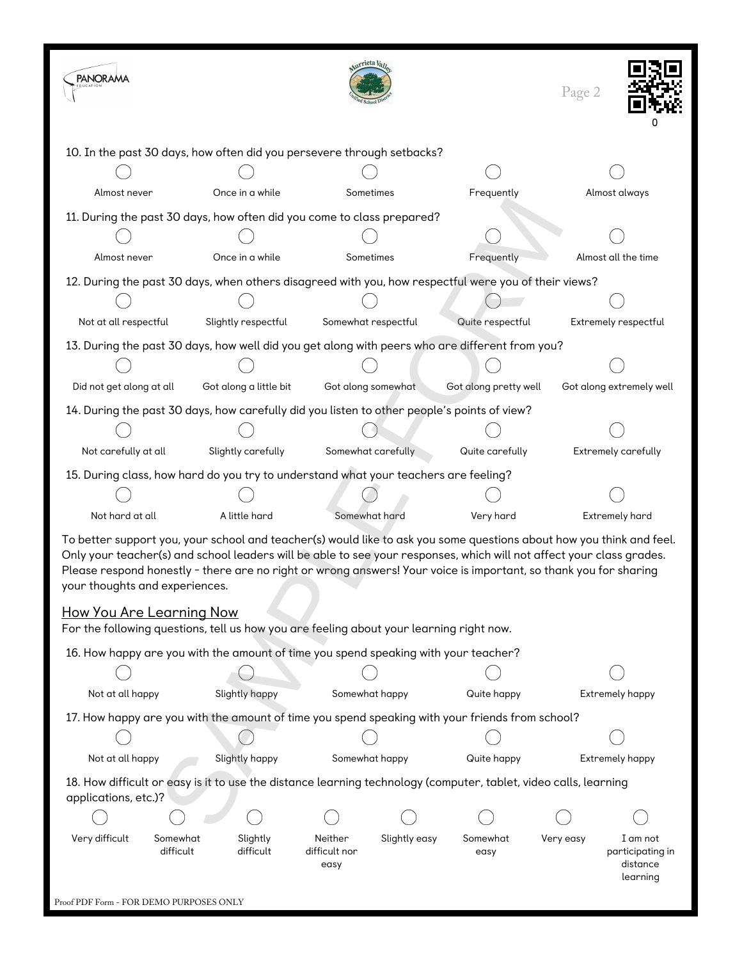| <b>PANORAMA</b>                                                                                 |                                                                        |                                                                                         | urrieta <sub>Va</sub>            |                    |                                                                                                                                                                                                                                                                                                                                                                  | Page 2    |                                                      |  |
|-------------------------------------------------------------------------------------------------|------------------------------------------------------------------------|-----------------------------------------------------------------------------------------|----------------------------------|--------------------|------------------------------------------------------------------------------------------------------------------------------------------------------------------------------------------------------------------------------------------------------------------------------------------------------------------------------------------------------------------|-----------|------------------------------------------------------|--|
|                                                                                                 | 10. In the past 30 days, how often did you persevere through setbacks? |                                                                                         |                                  |                    |                                                                                                                                                                                                                                                                                                                                                                  |           |                                                      |  |
|                                                                                                 |                                                                        |                                                                                         |                                  |                    |                                                                                                                                                                                                                                                                                                                                                                  |           |                                                      |  |
| Almost never                                                                                    |                                                                        | Once in a while                                                                         | Sometimes                        |                    | Frequently                                                                                                                                                                                                                                                                                                                                                       |           | Almost always                                        |  |
| 11. During the past 30 days, how often did you come to class prepared?                          |                                                                        |                                                                                         |                                  |                    |                                                                                                                                                                                                                                                                                                                                                                  |           |                                                      |  |
|                                                                                                 |                                                                        |                                                                                         |                                  |                    |                                                                                                                                                                                                                                                                                                                                                                  |           |                                                      |  |
| Almost never                                                                                    |                                                                        | Once in a while                                                                         | Sometimes                        |                    | Frequently                                                                                                                                                                                                                                                                                                                                                       |           | Almost all the time                                  |  |
|                                                                                                 |                                                                        |                                                                                         |                                  |                    | 12. During the past 30 days, when others disagreed with you, how respectful were you of their views?                                                                                                                                                                                                                                                             |           |                                                      |  |
|                                                                                                 |                                                                        |                                                                                         |                                  |                    |                                                                                                                                                                                                                                                                                                                                                                  |           |                                                      |  |
| Not at all respectful                                                                           |                                                                        | Slightly respectful                                                                     | Somewhat respectful              |                    | Quite respectful                                                                                                                                                                                                                                                                                                                                                 |           | Extremely respectful                                 |  |
|                                                                                                 |                                                                        |                                                                                         |                                  |                    | 13. During the past 30 days, how well did you get along with peers who are different from you?                                                                                                                                                                                                                                                                   |           |                                                      |  |
|                                                                                                 |                                                                        |                                                                                         |                                  |                    |                                                                                                                                                                                                                                                                                                                                                                  |           |                                                      |  |
| Did not get along at all                                                                        |                                                                        | Got along a little bit                                                                  |                                  | Got along somewhat | Got along pretty well                                                                                                                                                                                                                                                                                                                                            |           | Got along extremely well                             |  |
|                                                                                                 |                                                                        |                                                                                         |                                  |                    | 14. During the past 30 days, how carefully did you listen to other people's points of view?                                                                                                                                                                                                                                                                      |           |                                                      |  |
|                                                                                                 |                                                                        |                                                                                         |                                  |                    |                                                                                                                                                                                                                                                                                                                                                                  |           |                                                      |  |
| Not carefully at all                                                                            |                                                                        | Slightly carefully                                                                      |                                  | Somewhat carefully | Quite carefully                                                                                                                                                                                                                                                                                                                                                  |           | Extremely carefully                                  |  |
|                                                                                                 |                                                                        | 15. During class, how hard do you try to understand what your teachers are feeling?     |                                  |                    |                                                                                                                                                                                                                                                                                                                                                                  |           |                                                      |  |
|                                                                                                 |                                                                        |                                                                                         |                                  |                    |                                                                                                                                                                                                                                                                                                                                                                  |           |                                                      |  |
| Not hard at all                                                                                 |                                                                        | A little hard                                                                           | Somewhat hard                    |                    | Very hard                                                                                                                                                                                                                                                                                                                                                        |           | <b>Extremely hard</b>                                |  |
| your thoughts and experiences.                                                                  |                                                                        |                                                                                         |                                  |                    | To better support you, your school and teacher(s) would like to ask you some questions about how you think and feel.<br>Only your teacher(s) and school leaders will be able to see your responses, which will not affect your class grades.<br>Please respond honestly - there are no right or wrong answers! Your voice is important, so thank you for sharing |           |                                                      |  |
| <u>How You Are Learning Now</u>                                                                 |                                                                        | For the following questions, tell us how you are feeling about your learning right now. |                                  |                    |                                                                                                                                                                                                                                                                                                                                                                  |           |                                                      |  |
|                                                                                                 |                                                                        | 16. How happy are you with the amount of time you spend speaking with your teacher?     |                                  |                    |                                                                                                                                                                                                                                                                                                                                                                  |           |                                                      |  |
|                                                                                                 |                                                                        |                                                                                         |                                  |                    |                                                                                                                                                                                                                                                                                                                                                                  |           |                                                      |  |
| Not at all happy                                                                                |                                                                        | Slightly happy                                                                          |                                  | Somewhat happy     | Quite happy                                                                                                                                                                                                                                                                                                                                                      |           | Extremely happy                                      |  |
| 17. How happy are you with the amount of time you spend speaking with your friends from school? |                                                                        |                                                                                         |                                  |                    |                                                                                                                                                                                                                                                                                                                                                                  |           |                                                      |  |
|                                                                                                 |                                                                        |                                                                                         |                                  |                    |                                                                                                                                                                                                                                                                                                                                                                  |           |                                                      |  |
| Not at all happy                                                                                |                                                                        | Slightly happy                                                                          | Somewhat happy                   |                    | Quite happy                                                                                                                                                                                                                                                                                                                                                      |           | Extremely happy                                      |  |
| applications, etc.)?                                                                            |                                                                        |                                                                                         |                                  |                    | 18. How difficult or easy is it to use the distance learning technology (computer, tablet, video calls, learning                                                                                                                                                                                                                                                 |           |                                                      |  |
|                                                                                                 |                                                                        |                                                                                         |                                  |                    |                                                                                                                                                                                                                                                                                                                                                                  |           |                                                      |  |
| Very difficult                                                                                  | Somewhat<br>difficult                                                  | Slightly<br>difficult                                                                   | Neither<br>difficult nor<br>easy | Slightly easy      | Somewhat<br>easy                                                                                                                                                                                                                                                                                                                                                 | Very easy | I am not<br>participating in<br>distance<br>learning |  |
| Proof PDF Form - FOR DEMO PURPOSES ONLY                                                         |                                                                        |                                                                                         |                                  |                    |                                                                                                                                                                                                                                                                                                                                                                  |           |                                                      |  |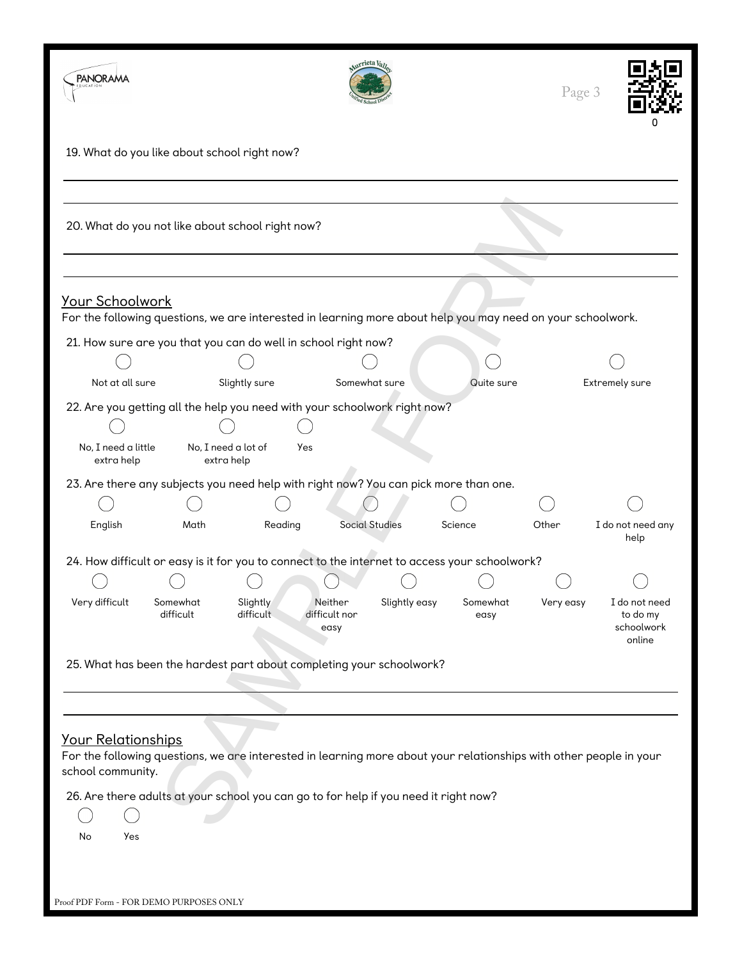| <b>PANORAMA</b>                                      |                                                                |                       | <sub>atrieta</sub> <sub>k</sub>                                                      |                                                                                                                    | Page 3    |                                                   |
|------------------------------------------------------|----------------------------------------------------------------|-----------------------|--------------------------------------------------------------------------------------|--------------------------------------------------------------------------------------------------------------------|-----------|---------------------------------------------------|
|                                                      | 19. What do you like about school right now?                   |                       |                                                                                      |                                                                                                                    |           |                                                   |
|                                                      | 20. What do you not like about school right now?               |                       |                                                                                      |                                                                                                                    |           |                                                   |
| Your Schoolwork                                      |                                                                |                       |                                                                                      | For the following questions, we are interested in learning more about help you may need on your schoolwork.        |           |                                                   |
|                                                      | 21. How sure are you that you can do well in school right now? |                       |                                                                                      |                                                                                                                    |           |                                                   |
|                                                      |                                                                |                       |                                                                                      |                                                                                                                    |           |                                                   |
| Not at all sure                                      |                                                                | Slightly sure         | Somewhat sure                                                                        | Quite sure                                                                                                         |           | Extremely sure                                    |
| No, I need a little<br>extra help                    | No, I need a lot of<br>extra help                              | Yes                   | 22. Are you getting all the help you need with your schoolwork right now?            |                                                                                                                    |           |                                                   |
|                                                      |                                                                |                       | 23. Are there any subjects you need help with right now? You can pick more than one. |                                                                                                                    |           |                                                   |
| English                                              | Math                                                           | Reading               | <b>Social Studies</b>                                                                | Science                                                                                                            | Other     | I do not need any<br>help                         |
|                                                      |                                                                |                       |                                                                                      | 24. How difficult or easy is it for you to connect to the internet to access your schoolwork?                      |           |                                                   |
|                                                      |                                                                |                       |                                                                                      |                                                                                                                    |           |                                                   |
| Very difficult                                       | Somewhat<br>difficult                                          | Slightly<br>difficult | Slightly easy<br>Neither<br>difficult nor<br>easy                                    | Somewhat<br>easy                                                                                                   | Very easy | I do not need<br>to do my<br>schoolwork<br>online |
|                                                      |                                                                |                       | 25. What has been the hardest part about completing your schoolwork?                 |                                                                                                                    |           |                                                   |
| Your Relationships<br>school community.<br>No<br>Yes |                                                                |                       | 26. Are there adults at your school you can go to for help if you need it right now? | For the following questions, we are interested in learning more about your relationships with other people in your |           |                                                   |

Proof PDF Form - FOR DEMO PURPOSES ONLY